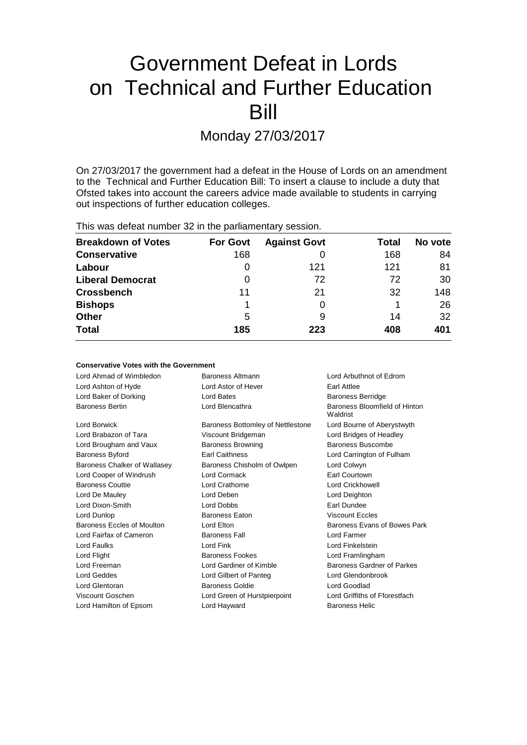# Government Defeat in Lords on Technical and Further Education Bill

Monday 27/03/2017

On 27/03/2017 the government had a defeat in the House of Lords on an amendment to the Technical and Further Education Bill: To insert a clause to include a duty that Ofsted takes into account the careers advice made available to students in carrying out inspections of further education colleges.

This was defeat number 32 in the parliamentary session.

| <b>Breakdown of Votes</b> | <b>For Govt</b> | <b>Against Govt</b> | Total | No vote |
|---------------------------|-----------------|---------------------|-------|---------|
| <b>Conservative</b>       | 168             |                     | 168   | 84      |
| Labour                    | O               | 121                 | 121   | 81      |
| <b>Liberal Democrat</b>   | 0               | 72                  | 72    | 30      |
| <b>Crossbench</b>         | 11              | 21                  | 32    | 148     |
| <b>Bishops</b>            |                 |                     |       | 26      |
| <b>Other</b>              | 5               | 9                   | 14    | 32      |
| <b>Total</b>              | 185             | 223                 | 408   | 401     |

### **Conservative Votes with the Government**

| Lord Ahmad of Wimbledon      | Baroness Altmann                  | Lord Arbuthnot of Edrom                   |
|------------------------------|-----------------------------------|-------------------------------------------|
| Lord Ashton of Hyde          | Lord Astor of Hever               | Earl Attlee                               |
| Lord Baker of Dorking        | Lord Bates                        | <b>Baroness Berridge</b>                  |
| <b>Baroness Bertin</b>       | Lord Blencathra                   | Baroness Bloomfield of Hinton<br>Waldrist |
| Lord Borwick                 | Baroness Bottomley of Nettlestone | Lord Bourne of Aberystwyth                |
| Lord Brabazon of Tara        | Viscount Bridgeman                | Lord Bridges of Headley                   |
| Lord Brougham and Vaux       | <b>Baroness Browning</b>          | Baroness Buscombe                         |
| <b>Baroness Byford</b>       | <b>Earl Caithness</b>             | Lord Carrington of Fulham                 |
| Baroness Chalker of Wallasey | Baroness Chisholm of Owlpen       | Lord Colwyn                               |
| Lord Cooper of Windrush      | Lord Cormack                      | <b>Earl Courtown</b>                      |
| <b>Baroness Couttie</b>      | Lord Crathorne                    | Lord Crickhowell                          |
| Lord De Mauley               | Lord Deben                        | Lord Deighton                             |
| Lord Dixon-Smith             | Lord Dobbs                        | <b>Farl Dundee</b>                        |
| Lord Dunlop                  | <b>Baroness Eaton</b>             | <b>Viscount Eccles</b>                    |
| Baroness Eccles of Moulton   | Lord Elton                        | Baroness Evans of Bowes Park              |
| Lord Fairfax of Cameron      | <b>Baroness Fall</b>              | Lord Farmer                               |
| Lord Faulks                  | Lord Fink                         | Lord Finkelstein                          |
| Lord Flight                  | <b>Baroness Fookes</b>            | Lord Framlingham                          |
| Lord Freeman                 | Lord Gardiner of Kimble           | Baroness Gardner of Parkes                |
| Lord Geddes                  | Lord Gilbert of Panteg            | Lord Glendonbrook                         |
| Lord Glentoran               | Baroness Goldie                   | Lord Goodlad                              |
| Viscount Goschen             | Lord Green of Hurstpierpoint      | Lord Griffiths of Fforestfach             |
| Lord Hamilton of Epsom       | Lord Hayward                      | <b>Baroness Helic</b>                     |
|                              |                                   |                                           |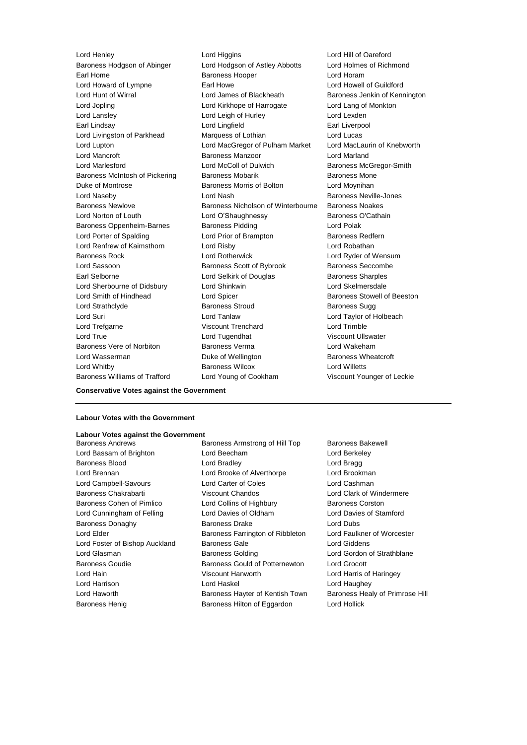Lord Henley Lord Higgins Lord Hill of Oareford Baroness Hodgson of Abinger Lord Hodgson of Astley Abbotts Lord Holmes of Richmond Earl Home Baroness Hooper Lord Horam Lord Howard of Lympne Earl Howe Lord Howell of Guildford Lord Hunt of Wirral Lord James of Blackheath Baroness Jenkin of Kennington Lord Jopling Lord Kirkhope of Harrogate Lord Lang of Monkton Lord Lansley **Lord Leigh of Hurley** Lord Lexden Earl Lindsay **Lord Lingfield** Earl Liverpool Lord Livingston of Parkhead Marquess of Lothian Cord Lucas Lord Lupton Lord MacGregor of Pulham Market Lord MacLaurin of Knebworth Lord Mancroft Baroness Manzoor Lord Marland Lord Marlesford **Lord McColl of Dulwich Baroness McGregor-Smith** Baroness McIntosh of Pickering Baroness Mobarik Baroness Mone Duke of Montrose Baroness Morris of Bolton Lord Moynihan Lord Naseby **Lord Nash Baroness Neville-Jones** Baroness Newlove Baroness Nicholson of Winterbourne Baroness Noakes Lord Norton of Louth Lord O'Shaughnessy Baroness O'Cathain Baroness Oppenheim-Barnes Baroness Pidding Lord Polak Lord Porter of Spalding **Lord Prior of Brampton** Baroness Redfern Lord Renfrew of Kaimsthorn Lord Risby Lord Robathan Baroness Rock Lord Rotherwick Lord Ryder of Wensum Lord Sassoon **Baroness Scott of Bybrook** Baroness Seccombe Earl Selborne Lord Selkirk of Douglas Baroness Sharples Lord Sherbourne of Didsbury Lord Shinkwin Lord Skelmersdale Lord Smith of Hindhead Lord Spicer Lord Spicer Baroness Stowell of Beeston Lord Strathclyde **Baroness Stroud** Baroness Sugg Lord Suri Lord Tanlaw Lord Taylor of Holbeach Lord Trefgarne Viscount Trenchard Lord Trimble Lord True **Lord Tugendhat** Viscount Ullswater Baroness Vere of Norbiton **Baroness Verma** Baroness Verma Lord Wakeham Lord Wasserman **Duke of Wellington** Baroness Wheatcroft Lord Whitby Baroness Wilcox Lord Willetts Baroness Williams of Trafford Lord Young of Cookham Viscount Younger of Leckie

### **Conservative Votes against the Government**

### **Labour Votes with the Government**

### **Labour Votes against the Government**

Baroness Andrews **Baroness Armstrong of Hill Top** Baroness Bakewell Lord Bassam of Brighton Lord Beecham Lord Berkeley Baroness Blood **Lord Bradley** Cord Bradley **Lord Bragg** Lord Brennan Lord Brooke of Alverthorpe Lord Brookman Lord Campbell-Savours Lord Carter of Coles Lord Cashman Baroness Chakrabarti **Viscount Chandos** Lord Clark of Windermere Baroness Cohen of Pimlico Lord Collins of Highbury Baroness Corston Lord Cunningham of Felling Lord Davies of Oldham Lord Davies of Stamford Baroness Donaghy **Baroness Drake** Lord Dubs Lord Elder **Baroness Farrington of Ribbleton** Lord Faulkner of Worcester Lord Foster of Bishop Auckland Baroness Gale Lord Giddens Lord Glasman **Baroness Golding Community Conducts** Lord Gordon of Strathblane Baroness Goudie Baroness Gould of Potternewton Lord Grocott Lord Hain Viscount Hanworth Lord Harris of Haringey Lord Harrison Lord Haskel Lord Haughey Lord Haworth Baroness Hayter of Kentish Town Baroness Healy of Primrose Hill Baroness Henig **Baroness Hilton of Eggardon** Lord Hollick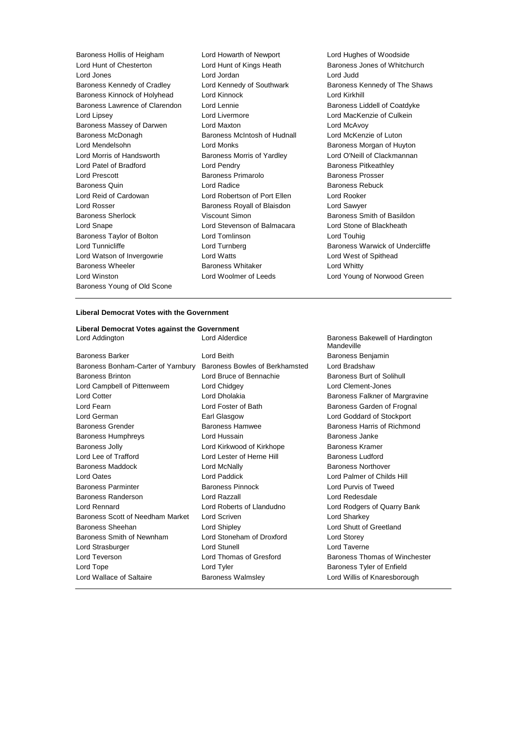| Baroness Hollis of Heigham     | Lord Howarth of Newport           | Lord Hugh             |
|--------------------------------|-----------------------------------|-----------------------|
| Lord Hunt of Chesterton        | Lord Hunt of Kings Heath          | Baroness,             |
| Lord Jones                     | Lord Jordan                       | Lord Judd             |
| Baroness Kennedy of Cradley    | Lord Kennedy of Southwark         | Baroness              |
| Baroness Kinnock of Holyhead   | Lord Kinnock                      | Lord Kirkh            |
| Baroness Lawrence of Clarendon | Lord Lennie                       | Baroness              |
| Lord Lipsey                    | Lord Livermore                    | Lord Mack             |
| Baroness Massey of Darwen      | Lord Maxton                       | Lord McAv             |
| Baroness McDonagh              | Baroness McIntosh of Hudnall      | Lord McKe             |
| Lord Mendelsohn                | Lord Monks                        | Baroness              |
| Lord Morris of Handsworth      | <b>Baroness Morris of Yardley</b> | Lord O'Nei            |
| Lord Patel of Bradford         | Lord Pendry                       | Baroness              |
| <b>Lord Prescott</b>           | <b>Baroness Primarolo</b>         | Baroness              |
| <b>Baroness Quin</b>           | Lord Radice                       | Baroness              |
| Lord Reid of Cardowan          | Lord Robertson of Port Ellen      | Lord Rook             |
| Lord Rosser                    | Baroness Royall of Blaisdon       | Lord Sawy             |
| <b>Baroness Sherlock</b>       | Viscount Simon                    | <b>Baroness</b>       |
| Lord Snape                     | Lord Stevenson of Balmacara       | Lord Stone            |
| Baroness Taylor of Bolton      | Lord Tomlinson                    | Lord Touh             |
| Lord Tunnicliffe               | Lord Turnberg                     | Baroness <sup>'</sup> |
| Lord Watson of Invergowrie     | <b>Lord Watts</b>                 | Lord West             |
| Baroness Wheeler               | <b>Baroness Whitaker</b>          | <b>Lord Whitt</b>     |
| Lord Winston                   | Lord Woolmer of Leeds             | Lord Youn             |
| Baroness Young of Old Scone    |                                   |                       |

Baroness Kinnock of Holyhead Lord Kinnock Lord Kirkhill Lord Livermore **Lord MacKenzie of Culkein** Lord Maxton **Lord McAvoy** Baroness McIntosh of Hudnall Lord McKenzie of Luton Lord Monks **Baroness Morgan of Huyton** Baroness Morris of Yardley **Lord O'Neill of Clackmannan** Lord Pendry **Baroness Pitkeathley** Baroness Primarolo Baroness Prosser Lord Radice **Baroness Rebuck** Lord Robertson of Port Ellen Lord Rooker Baroness Royall of Blaisdon Lord Sawyer Viscount Simon Baroness Smith of Basildon Lord Stevenson of Balmacara Lord Stone of Blackheath Lord Tomlinson Lord Touhig Lord Watts **Lord West of Spithead** Baroness Whitaker **Baroness Whitaker** Lord Whitty Lord Woolmer of Leeds Lord Young of Norwood Green

Lord Howarth of Newport Lord Hughes of Woodside Lord Hunt of Kings Heath Baroness Jones of Whitchurch Lord Kennedy of Southwark Baroness Kennedy of The Shaws Lord Lennie **Coatdyke Baroness Liddell of Coatdyke** Lord Turnberg **Example 20** Extends Baroness Warwick of Undercliffe

#### **Liberal Democrat Votes with the Government**

# **Liberal Democrat Votes against the Government**

| <b>Baroness Barker</b>             | I ord Beith                    |
|------------------------------------|--------------------------------|
| Baroness Bonham-Carter of Yarnbury | Baroness Bowles of Berkhamsted |
| <b>Baroness Brinton</b>            | Lord Bruce of Bennachie        |
| Lord Campbell of Pittenweem        | Lord Chidgey                   |
| <b>Lord Cotter</b>                 | Lord Dholakia                  |
| Lord Fearn                         | Lord Foster of Bath            |
| Lord German                        | Earl Glasgow                   |
| <b>Baroness Grender</b>            | <b>Baroness Hamwee</b>         |
| <b>Baroness Humphreys</b>          | Lord Hussain                   |
| <b>Baroness Jolly</b>              | Lord Kirkwood of Kirkhope      |
| Lord Lee of Trafford               | I ord I ester of Herne Hill    |
| Baroness Maddock                   | Lord McNally                   |
| <b>Lord Oates</b>                  | Lord Paddick                   |
| <b>Baroness Parminter</b>          | <b>Baroness Pinnock</b>        |
| Baroness Randerson                 | Lord Razzall                   |
| Lord Rennard                       | Lord Roberts of Llandudno      |
| Baroness Scott of Needham Market   | Lord Scriven                   |
| Baroness Sheehan                   | <b>Lord Shipley</b>            |
| Baroness Smith of Newnham          | Lord Stoneham of Droxford      |
| Lord Strasburger                   | <b>Lord Stunell</b>            |
| Lord Teverson                      | Lord Thomas of Gresford        |
| Lord Tope                          | Lord Tyler                     |
| Lord Wallace of Saltaire           | <b>Baroness Walmslev</b>       |

Baroness Bakewell of Hardington Mandeville Baroness Benjamin Lord Bradshaw Baroness Burt of Solihull Lord Clement-Jones Baroness Falkner of Margravine Baroness Garden of Frognal Lord Goddard of Stockport Baroness Harris of Richmond Baroness Janke Baroness Kramer Baroness Ludford Baroness Northover Lord Palmer of Childs Hill Lord Purvis of Tweed Lord Redesdale Lord Rodgers of Quarry Bank Lord Sharkey Lord Shutt of Greetland Lord Storey Lord Taverne Baroness Thomas of Winchester Baroness Tyler of Enfield Lord Willis of Knaresborough